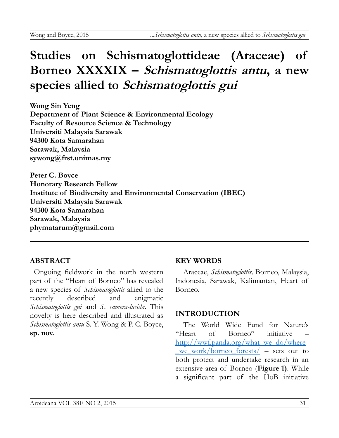# **Studies on Schismatoglottideae (Araceae) of Borneo XXXXIX – Schismatoglottis antu, a new species allied to Schismatoglottis gui**

**Wong Sin Yeng Department of Plant Science & Environmental Ecology Faculty of Resource Science & Technology Universiti Malaysia Sarawak 94300 Kota Samarahan Sarawak, Malaysia sywong@frst.unimas.my**

**Peter C. Boyce Honorary Research Fellow Institute of Biodiversity and Environmental Conservation (IBEC) Universiti Malaysia Sarawak 94300 Kota Samarahan Sarawak, Malaysia phymatarum@gmail.com**

## **ABSTRACT**

Ongoing fieldwork in the north western part of the "Heart of Borneo" has revealed a new species of *Schismatoglottis* allied to the recently described and enigmatic *Schismatoglottis gui* and *S. camera-lucida*. This novelty is here described and illustrated as *Schismatoglottis antu* S. Y. Wong & P. C. Boyce, **sp. nov.**

## **KEY WORDS**

Araceae, *Schismatoglottis,* Borneo, Malaysia, Indonesia, Sarawak, Kalimantan, Heart of Borneo.

## **INTRODUCTION**

The World Wide Fund for Nature's "Heart of Borneo" initiative – [http://wwf.panda.org/what\\_we\\_do/where](http://wwf.panda.org/what_we_do/where_we_work/borneo_forests/) we work/borneo forests/ – sets out to both protect and undertake research in an extensive area of Borneo (**Figure 1)**. While a significant part of the HoB initiative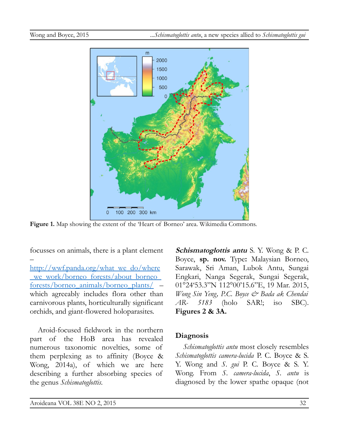

**Figure 1.** Map showing the extent of the 'Heart of Borneo' area. Wikimedia Commons.

focusses on animals, there is a plant element

– [http://wwf.panda.org/what\\_we\\_do/where](http://wwf.panda.org/what_we_do/where_we_work/borneo_forests/about_borneo_forests/borneo_animals/borneo_plants/) we\_work/borneo\_forests/about\_borneo [forests/borneo\\_animals/borneo\\_plants/](http://wwf.panda.org/what_we_do/where_we_work/borneo_forests/about_borneo_forests/borneo_animals/borneo_plants/) – which agreeably includes flora other than carnivorous plants, horticulturally significant orchids, and giant-flowered holoparasites.

Aroid-focused fieldwork in the northern part of the HoB area has revealed numerous taxonomic novelties, some of them perplexing as to affinity (Boyce & Wong, 2014a), of which we are here describing a further absorbing species of the genus *Schismatoglottis*.

**Schismatoglottis antu** S. Y. Wong & P. C. Boyce, **sp. nov.** Type**:** Malaysian Borneo, Sarawak, Sri Aman, Lubok Antu, Sungai Engkari, Nanga Segerak, Sungai Segerak, 01°24'53.3"N 112°00'15.6"E, 19 Mar. 2015, *Wong Sin Yeng, P.C. Boyce & Bada ak Chendai AR- 5183* (holo SAR!; iso SBC). **Figures 2 & 3A.**

#### **Diagnosis**

*Schismatoglottis antu* most closely resembles *Schismatoglottis camera-lucida* P. C. Boyce & S. Y. Wong and *S. gui* P. C. Boyce & S. Y. Wong. From *S. camera-lucida*, *S. antu* is diagnosed by the lower spathe opaque (not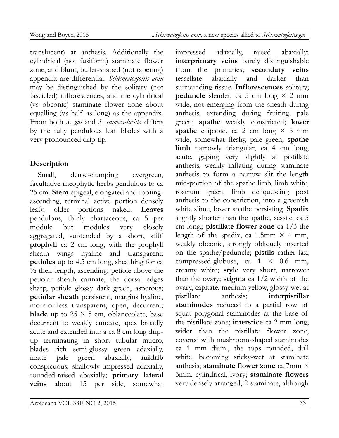translucent) at anthesis. Additionally the cylindrical (not fusiform) staminate flower zone, and blunt, bullet-shaped (not tapering) appendix are differential. *Schismatoglottis antu* may be distinguished by the solitary (not fascicled) inflorescences, and the cylindrical (vs obconic) staminate flower zone about equalling (vs half as long) as the appendix. From both *S. gui* and *S. camera-lucida* differs by the fully pendulous leaf blades with a very pronounced drip-tip.

# **Description**

Small, dense-clumping evergreen, facultative rheophytic herbs pendulous to ca 25 cm. **Stem** epigeal, elongated and rootingascending, terminal active portion densely leafy, older portions naked. **Leaves** pendulous, thinly chartaceous, ca 5 per module but modules very closely aggregated, subtended by a short, stiff **prophyll** ca 2 cm long, with the prophyll sheath wings hyaline and transparent; **petioles** up to 4.5 cm long, sheathing for ca  $\frac{1}{2}$  their length, ascending, petiole above the petiolar sheath carinate, the dorsal edges sharp, petiole glossy dark green, asperous; **petiolar sheath** persistent, margins hyaline, more-or-less transparent, open, decurrent; **blade** up to  $25 \times 5$  cm, oblanceolate, base decurrent to weakly cuneate, apex broadly acute and extended into a ca 8 cm long driptip terminating in short tubular mucro, blades rich semi-glossy green adaxially, matte pale green abaxially; **midrib** conspicuous, shallowly impressed adaxially, rounded-raised abaxially; **primary lateral veins** about 15 per side, somewhat impressed adaxially, raised abaxially; **interprimary veins** barely distinguishable from the primaries; **secondary veins** tessellate abaxially and darker than surrounding tissue. **Inflorescences** solitary; **peduncle** slender, ca 5 cm long  $\times$  2 mm wide, not emerging from the sheath during anthesis, extending during fruiting, pale green; **spathe** weakly constricted; **lower spathe** ellipsoid, ca 2 cm long  $\times$  5 mm wide, somewhat fleshy, pale green; **spathe limb** narrowly triangular, ca 4 cm long, acute, gaping very slightly at pistillate anthesis, weakly inflating during staminate anthesis to form a narrow slit the length mid-portion of the spathe limb, limb white, rostrum green, limb deliquescing post anthesis to the constriction, into a greenish white slime, lower spathe persisting. **Spadix** slightly shorter than the spathe, sessile, ca 5 cm long,; **pistillate flower zone** ca 1/3 the length of the spadix, ca 1.5mm  $\times$  4 mm, weakly obconic, strongly obliquely inserted on the spathe/peduncle; **pistils** rather lax, compressed-globose, ca  $1 \times 0.6$  mm, creamy white; **style** very short, narrower than the ovary; **stigma** ca 1/2 width of the ovary, capitate, medium yellow, glossy-wet at pistillate anthesis; **interpistillar staminodes** reduced to a partial row of squat polygonal staminodes at the base of the pistillate zone; **interstice** ca 2 mm long, wider than the pistillate flower zone, covered with mushroom-shaped staminodes ca 1 mm diam., the tops rounded, dull white, becoming sticky-wet at staminate anthesis; **staminate flower zone** ca 7mm × 3mm, cylindrical, ivory; **staminate flowers** very densely arranged, 2-staminate, although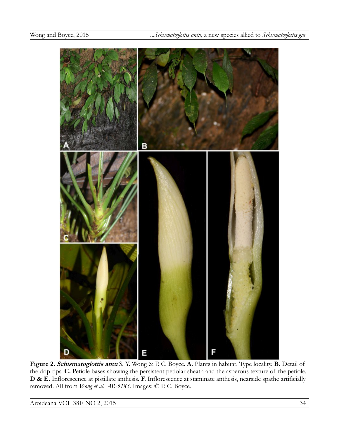

**Figure 2. Schismatoglottis antu** S. Y. Wong & P. C. Boyce. **A.** Plants in habitat, Type locality. **B.** Detail of the drip-tips. **C.** Petiole bases showing the persistent petiolar sheath and the asperous texture of the petiole. **D & E.** Inflorescence at pistillate anthesis. **F.** Inflorescence at staminate anthesis, nearside spathe artificially removed. All from *Wong et al. AR-5183*. Images: © P. C. Boyce.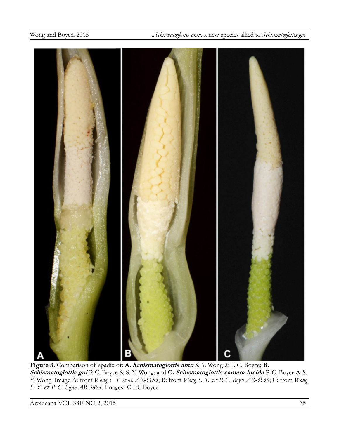

**Figure 3.** Comparison of spadix of: **A. Schismatoglottis antu** S. Y. Wong & P. C. Boyce; **B. Schismatoglottis gui** P. C. Boyce & S. Y. Wong; and **C. Schismatoglottis camera-lucida** P. C. Boyce & S. Y. Wong. Image A: from *Wong S. Y. et al. AR-5183*; B: from *Wong S. Y. & P. C. Boyce AR-3536*; C: from *Wong S. Y. & P. C. Boyce AR-3894*. Images: © P.C.Boyce.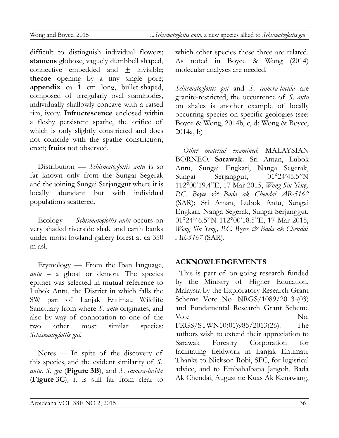difficult to distinguish individual flowers; **stamens** globose, vaguely dumbbell shaped, connective embedded and  $+$  invisible; **thecae** opening by a tiny single pore; **appendix** ca 1 cm long, bullet-shaped, composed of irregularly oval staminodes, individually shallowly concave with a raised rim, ivory. **Infructescence** enclosed within a fleshy persistent spathe, the orifice of which is only slightly constricted and does not coincide with the spathe constriction, erect; **fruits** not observed.

Distribution — *Schismatoglottis antu* is so far known only from the Sungai Segerak and the joining Sungai Serjanggut where it is locally abundant but with individual populations scattered.

Ecology — *Schismatoglottis antu* occurs on very shaded riverside shale and earth banks under moist lowland gallery forest at ca 350 m asl.

Etymology — From the Iban language, *antu* – a ghost or demon. The species epithet was selected in mutual reference to Lubok Antu, the District in which falls the SW part of Lanjak Entimau Wildlife Sanctuary from where *S. antu* originates, and also by way of connotation to one of the two other most similar species: *Schismatoglottis gui.*

Notes — In spite of the discovery of this species, and the evident similarity of *S. antu*, *S. gui* (**Figure 3B**), and *S. camera-lucida* (**Figure 3C**)*,* it is still far from clear to

which other species these three are related. As noted in Boyce & Wong (2014) molecular analyses are needed.

*Schismatoglottis gui* and *S. camera-lucida* are granite-restricted, the occurrence of *S. antu* on shales is another example of locally occurring species on specific geologies (see: Boyce & Wong, 2014b, c, d; Wong & Boyce, 2014a, b)

*Other material examined*: MALAYSIAN BORNEO. **Sarawak.** Sri Aman, Lubok Antu, Sungai Engkari, Nanga Segerak, Sungai Serjanggut, 01°24'45.5"N 112°00'19.4"E, 17 Mar 2015, *Wong Sin Yeng, P.C. Boyce & Bada ak Chendai AR-5162* (SAR); Sri Aman, Lubok Antu, Sungai Engkari, Nanga Segerak, Sungai Serjanggut, 01°24'46.5"N 112°00'18.5"E, 17 Mar 2015, *Wong Sin Yeng, P.C. Boyce & Bada ak Chendai AR-5167* (SAR).

# **ACKNOWLEDGEMENTS**

This is part of on-going research funded by the Ministry of Higher Education, Malaysia by the Exploratory Research Grant Scheme Vote No. NRGS/1089/2013-(03) and Fundamental Research Grant Scheme Vote No. FRGS/STWN10(01)985/2013(26). The authors wish to extend their appreciation to Sarawak Forestry Corporation for facilitating fieldwork in Lanjak Entimau. Thanks to Nickson Robi, SFC, for logistical advice, and to Embahalbana Jangoh, Bada Ak Chendai, Augustine Kuas Ak Kenawang,